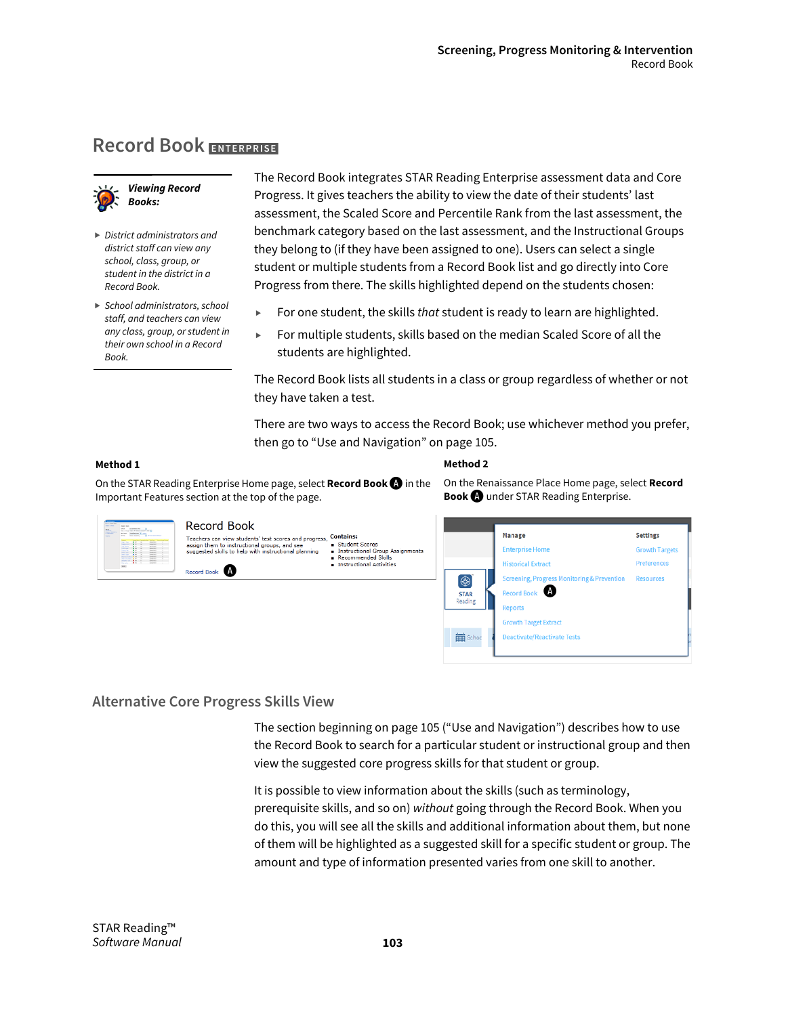On the Renaissance Place Home page, select **Record** 

**Book A** under STAR Reading Enterprise.

**h Target Extract** 

# **Record Book ENTERPRISE**



- *District administrators and district staff can view any school, class, group, or student in the district in a Record Book.*
- *School administrators, school staff, and teachers can view any class, group, or student in their own school in a Record Book.*

The Record Book integrates STAR Reading Enterprise assessment data and Core Progress. It gives teachers the ability to view the date of their students' last assessment, the Scaled Score and Percentile Rank from the last assessment, the benchmark category based on the last assessment, and the Instructional Groups they belong to (if they have been assigned to one). Users can select a single student or multiple students from a Record Book list and go directly into Core Progress from there. The skills highlighted depend on the students chosen:

- For one student, the skills *that* student is ready to learn are highlighted.
- For multiple students, skills based on the median Scaled Score of all the students are highlighted.

The Record Book lists all students in a class or group regardless of whether or not they have taken a test.

There are two ways to access the Record Book; use whichever method you prefer, then go to "Use and Navigation" on page 105.

#### **Method 1**

#### **Method 2**

On the STAR Reading Enterprise Home page, select **Record Book**A in the Important Features section at the top of the page.

| <b>Continental Control</b><br>Operation Labor & Morrison St., 2014.<br>Antoni Angleser M. and<br><b>BERT - Text Scotts - A between their</b><br><b>WARTHING PENAMATE IN THE ANNUAL PROPERTY</b><br><b>CALLED</b><br><b>Advised A</b><br><b>BUTCHER</b><br><b>SALES CO.</b><br><b>Contact Mark 19</b><br><b>STATISTICS</b> | Record Book<br>Teachers can view students' test scores and progress,<br>assign them to instructional groups, and see<br>suggested skills to help with instructional planning | <b>Contains:</b><br>Student Scores<br>Instructional Group Assignments<br>Recommended Skills<br><b>n</b> Instructional Activities |                        | Manage<br><b>Enterprise Home</b><br><b>Historical Extract</b> | <b>Settings</b><br><b>Growth Targets</b><br>Preferences |
|---------------------------------------------------------------------------------------------------------------------------------------------------------------------------------------------------------------------------------------------------------------------------------------------------------------------------|------------------------------------------------------------------------------------------------------------------------------------------------------------------------------|----------------------------------------------------------------------------------------------------------------------------------|------------------------|---------------------------------------------------------------|---------------------------------------------------------|
|                                                                                                                                                                                                                                                                                                                           | Record Book                                                                                                                                                                  |                                                                                                                                  | ۱                      | Screening, Progress Monitoring & Prevention Resources         |                                                         |
|                                                                                                                                                                                                                                                                                                                           |                                                                                                                                                                              |                                                                                                                                  | <b>STAR</b><br>Reading | Record Book<br><b>lenorts</b>                                 |                                                         |

## **Alternative Core Progress Skills View**

The section beginning on page 105 ("Use and Navigation") describes how to use the Record Book to search for a particular student or instructional group and then view the suggested core progress skills for that student or group.

苗se

It is possible to view information about the skills (such as terminology, prerequisite skills, and so on) *without* going through the Record Book. When you do this, you will see all the skills and additional information about them, but none of them will be highlighted as a suggested skill for a specific student or group. The amount and type of information presented varies from one skill to another.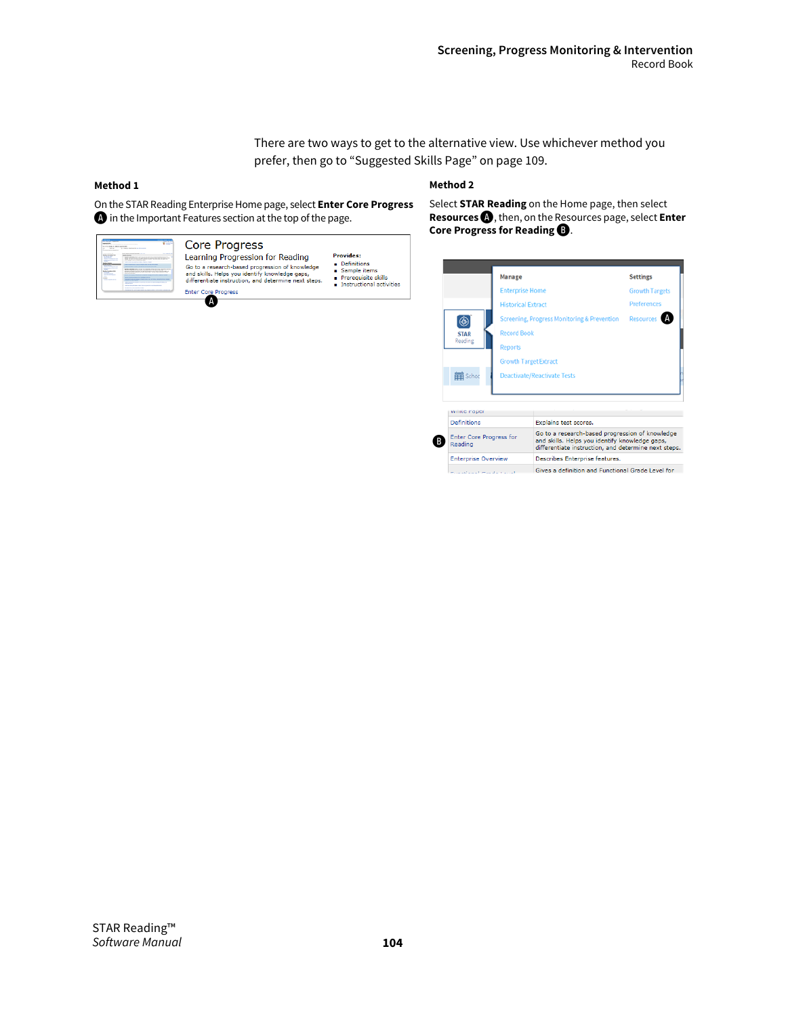There are two ways to get to the alternative view. Use whichever method you prefer, then go to "Suggested Skills Page" on page 109.

#### **Method 1**

#### **Method 2**

On the STAR Reading Enterprise Home page, select **Enter Core Progress**  A in the Important Features section at the top of the page.

| $\sim$<br>____<br><b>A</b> value<br>------<br><b>Service States and Control of States</b><br>University logic logo for an information<br>If you want were the presented<br>the American is a booster, you can<br><b>Six career at</b><br><b>Service Advised Associate</b><br><b>Basic Advertising Text</b><br><b>NEW ORIGIN</b>                                                                                                                                                                                                                                                                                                                                                                                                                                                                                                                                                                                                                                                              | Core Progress                                                                                                                                                                                 |                                                                                                           |
|----------------------------------------------------------------------------------------------------------------------------------------------------------------------------------------------------------------------------------------------------------------------------------------------------------------------------------------------------------------------------------------------------------------------------------------------------------------------------------------------------------------------------------------------------------------------------------------------------------------------------------------------------------------------------------------------------------------------------------------------------------------------------------------------------------------------------------------------------------------------------------------------------------------------------------------------------------------------------------------------|-----------------------------------------------------------------------------------------------------------------------------------------------------------------------------------------------|-----------------------------------------------------------------------------------------------------------|
| ----<br>MORE AND CONTRACTOR<br>----<br><b>STATE OF STATE OF A</b><br><b><i>A BALLASTA CALLASTA</i></b><br><b>And clock on death of Min-Angles Clock</b><br><br><b>SAN TIMBER</b><br><b>MARKET</b><br>---<br><b><i><u>Andrew Commercial Commercial Commercial Commercial Commercial Commercial Commercial Commercial Commercial Commercial Commercial Commercial Commercial Commercial Commercial Commercial Commercial Commercial Commercial Com</u></i></b><br>-<br><b>STATE</b><br>prove to accept them in the state and company of the state of the state of the state<br><b>College Street Street</b><br><b>STR. Survivors a strategic bat million companies and a final and the companies of the company of the company of the company of the company of the company of the company of the company of the company of the company of the </b><br>--<br>book and below at helium patients in an extensive factor of the contact of the con-<br>the many first a state to depress to their | Learning Progression for Reading<br>Go to a research-based progression of knowledge<br>and skills. Helps you identify knowledge gaps,<br>differentiate instruction, and determine next steps. | <b>Provides:</b><br>Definitions<br>Sample items<br>Prerequisite skills<br><b>Instructional activities</b> |
| <b>ESEMPTE ALTIMATE RESIS DA PARA PER L'EST ESTATE L'ALTI</b>                                                                                                                                                                                                                                                                                                                                                                                                                                                                                                                                                                                                                                                                                                                                                                                                                                                                                                                                | <b>Enter Core Progress</b>                                                                                                                                                                    |                                                                                                           |

Select **STAR Reading** on the Home page, then select **Resources**A, then, on the Resources page, select **Enter Core Progress for Reading**  $\mathbf{D}$ .

|                                    | Manage                       |                                                                                                                                                           | <b>Settings</b> |  |  |  |
|------------------------------------|------------------------------|-----------------------------------------------------------------------------------------------------------------------------------------------------------|-----------------|--|--|--|
|                                    |                              | <b>Enterprise Home</b>                                                                                                                                    |                 |  |  |  |
|                                    |                              | <b>Historical Extract</b>                                                                                                                                 |                 |  |  |  |
|                                    |                              | Screening, Progress Monitoring & Prevention                                                                                                               |                 |  |  |  |
| <b>STAR</b>                        | <b>Record Book</b>           |                                                                                                                                                           |                 |  |  |  |
| Reading                            | <b>Reports</b>               |                                                                                                                                                           |                 |  |  |  |
|                                    | <b>Growth Target Extract</b> |                                                                                                                                                           |                 |  |  |  |
| 館 Schoo                            |                              | <b>Deactivate/Reactivate Tests</b>                                                                                                                        |                 |  |  |  |
| writte raper                       |                              |                                                                                                                                                           |                 |  |  |  |
| Definitions                        |                              | Explains test scores.                                                                                                                                     |                 |  |  |  |
| Enter Core Progress for<br>Reading |                              | Go to a research-based progression of knowledge<br>and skills. Helps you identify knowledge gaps,<br>differentiate instruction, and determine next steps. |                 |  |  |  |
| <b>Enterprise Overview</b>         |                              | Describes Enterprise features.                                                                                                                            |                 |  |  |  |
|                                    |                              |                                                                                                                                                           |                 |  |  |  |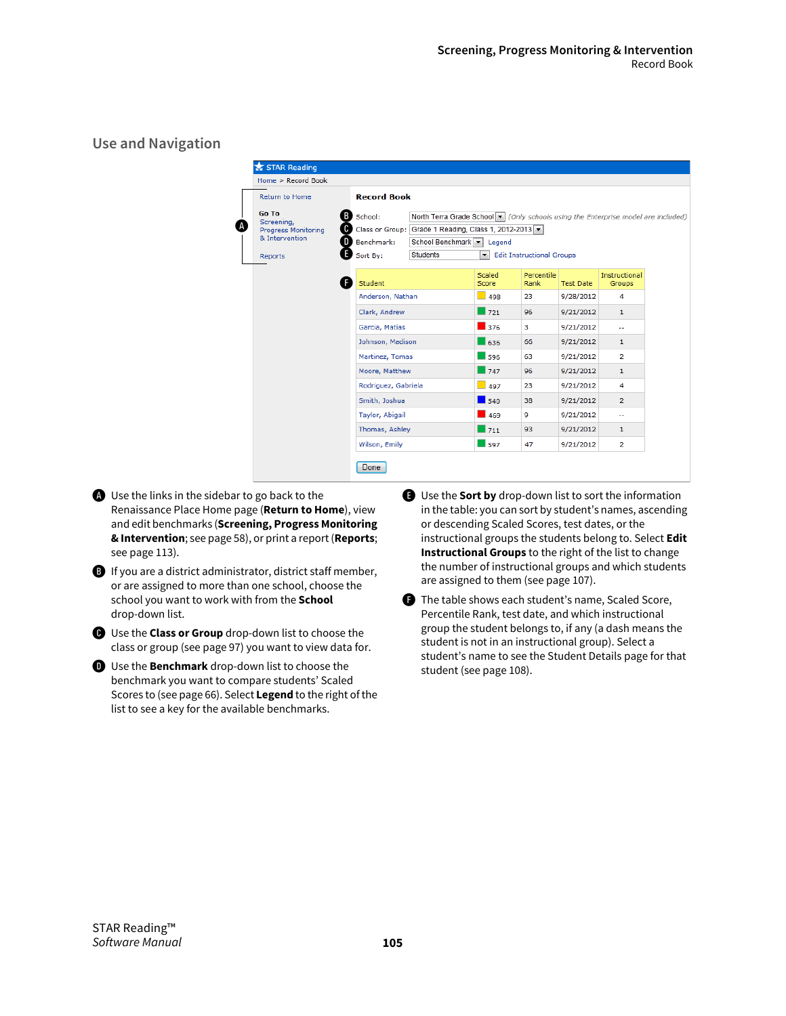**Use and Navigation**

| Home > Record Book                                                             |                                                      |                                                                                                                                                                                   |                    |                                  |                  |                                |  |  |
|--------------------------------------------------------------------------------|------------------------------------------------------|-----------------------------------------------------------------------------------------------------------------------------------------------------------------------------------|--------------------|----------------------------------|------------------|--------------------------------|--|--|
| Return to Home                                                                 |                                                      | <b>Record Book</b>                                                                                                                                                                |                    |                                  |                  |                                |  |  |
| Go To<br>Screening,<br><b>Progress Monitoring</b><br>& Intervention<br>Reports | <b>B</b> School:<br>0<br>D<br>Benchmark:<br>Sort By: | North Terra Grade School v (Only schools using the Enterprise model are included)<br>Class or Group: Grade 1 Reading, Class 1, 2012-2013 v<br>School Benchmark<br><b>Students</b> | Legend<br>∼∣       | <b>Edit Instructional Groups</b> |                  |                                |  |  |
|                                                                                | Student                                              |                                                                                                                                                                                   | Scaled<br>Score    | Percentile<br>Rank               | <b>Test Date</b> | Instructional<br><b>Groups</b> |  |  |
|                                                                                | Anderson, Nathan                                     |                                                                                                                                                                                   | $-498$             | 23                               | 9/28/2012        | 4                              |  |  |
|                                                                                | Clark, Andrew                                        |                                                                                                                                                                                   | $\Box$ 721         | 96                               | 9/21/2012        | $\mathbf{1}$                   |  |  |
|                                                                                | Garcia, Matias                                       |                                                                                                                                                                                   | $\Box$ 376         | 3                                | 9/21/2012        | $\sim$                         |  |  |
|                                                                                | Johnson, Madison                                     |                                                                                                                                                                                   | $-636$             | 66                               | 9/21/2012        | $\mathbf{1}$                   |  |  |
|                                                                                | Martinez, Tomas                                      |                                                                                                                                                                                   | $\Box$ 596         | 63                               | 9/21/2012        | $\overline{2}$                 |  |  |
|                                                                                | Moore, Matthew                                       |                                                                                                                                                                                   | $\Box$ 747         | 96                               | 9/21/2012        | $\mathbf{1}$                   |  |  |
|                                                                                | Rodriguez, Gabriela                                  |                                                                                                                                                                                   | $-497$             | 23                               | 9/21/2012        | 4                              |  |  |
|                                                                                | Smith, Joshua                                        |                                                                                                                                                                                   | $\blacksquare$ 540 | 38                               | 9/21/2012        | $\overline{2}$                 |  |  |
|                                                                                | Taylor, Abigail                                      |                                                                                                                                                                                   | $\blacksquare$ 469 | 9                                | 9/21/2012        | $\overline{a}$                 |  |  |
|                                                                                | Thomas, Ashley                                       |                                                                                                                                                                                   | $\Box$ 711         | 93                               | 9/21/2012        | 1                              |  |  |
|                                                                                | Wilson, Emily                                        |                                                                                                                                                                                   | $-597$             | 47                               | 9/21/2012        | 2                              |  |  |

- A Use the links in the sidebar to go back to the Renaissance Place Home page (**Return to Home**), view and edit benchmarks (**Screening, Progress Monitoring & Intervention**; see page 58), or print a report (**Reports**; see page 113).
- **B** If you are a district administrator, district staff member, or are assigned to more than one school, choose the school you want to work with from the **School** drop-down list.
- C Use the **Class or Group** drop-down list to choose the class or group (see page 97) you want to view data for.
- D Use the **Benchmark** drop-down list to choose the benchmark you want to compare students' Scaled Scores to (see page 66). Select **Legend** to the right of the list to see a key for the available benchmarks.
- E Use the **Sort by** drop-down list to sort the information in the table: you can sort by student's names, ascending or descending Scaled Scores, test dates, or the instructional groups the students belong to. Select **Edit Instructional Groups** to the right of the list to change the number of instructional groups and which students are assigned to them (see page 107).
- **f** The table shows each student's name, Scaled Score, Percentile Rank, test date, and which instructional group the student belongs to, if any (a dash means the student is not in an instructional group). Select a student's name to see the Student Details page for that student (see page 108).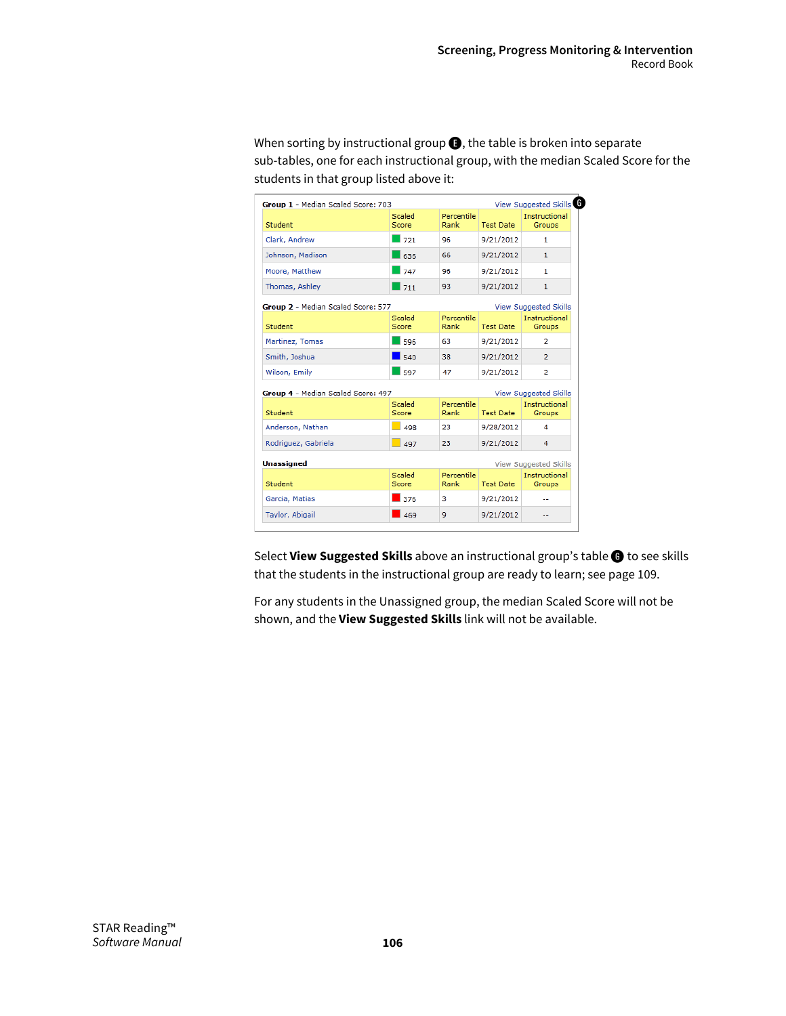When sorting by instructional group  $\bigodot$ , the table is broken into separate sub-tables, one for each instructional group, with the median Scaled Score for the students in that group listed above it:

| Group 1 - Median Scaled Score: 703 |                    |                    |                  | View Suggested Skills          |
|------------------------------------|--------------------|--------------------|------------------|--------------------------------|
| Student                            | Scaled<br>Score    | Percentile<br>Rank | <b>Test Date</b> | <b>Instructional</b><br>Groups |
| Clark, Andrew                      | 721                | 96                 | 9/21/2012        | 1                              |
| Johnson, Madison                   | 636                | 66                 | 9/21/2012        | $\mathbf{1}$                   |
| Moore, Matthew                     | 747                | 96                 | 9/21/2012        | 1                              |
| Thomas, Ashley                     | 1711               | 93                 | 9/21/2012        | $\mathbf{1}$                   |
| Group 2 - Median Scaled Score: 577 |                    |                    |                  | <b>View Suggested Skills</b>   |
| Student                            | Scaled<br>Score    | Percentile<br>Rank | <b>Test Date</b> | Instructional<br>Groups        |
| Martinez, Tomas                    | 596                | 63                 | 9/21/2012        | 2                              |
| Smith, Joshua                      | 540                | 38                 | 9/21/2012        | $\overline{2}$                 |
| Wilson, Emily                      | $\overline{1}$ 597 | 47                 | 9/21/2012        | $\overline{2}$                 |
| Group 4 - Median Scaled Score: 497 |                    |                    |                  | <b>View Suggested Skills</b>   |
| Student                            | Scaled<br>Score    | Percentile<br>Rank | <b>Test Date</b> | Instructional<br><b>Groups</b> |
| Anderson, Nathan                   | 498                | 23                 | 9/28/2012        | 4                              |
| Rodriguez, Gabriela                | $-497$             | 23                 | 9/21/2012        | 4                              |
| <b>Unassigned</b>                  |                    |                    |                  | View Suggested Skills          |
| Student                            | Scaled<br>Score    | Percentile<br>Rank | <b>Test Date</b> | Instructional<br><b>Groups</b> |
| Garcia, Matias                     | 376                | 3                  | 9/21/2012        |                                |
| Taylor, Abigail                    | 469                | 9                  | 9/21/2012        |                                |

Select **View Suggested Skills** above an instructional group's table G to see skills that the students in the instructional group are ready to learn; see page 109.

For any students in the Unassigned group, the median Scaled Score will not be shown, and the **View Suggested Skills** link will not be available.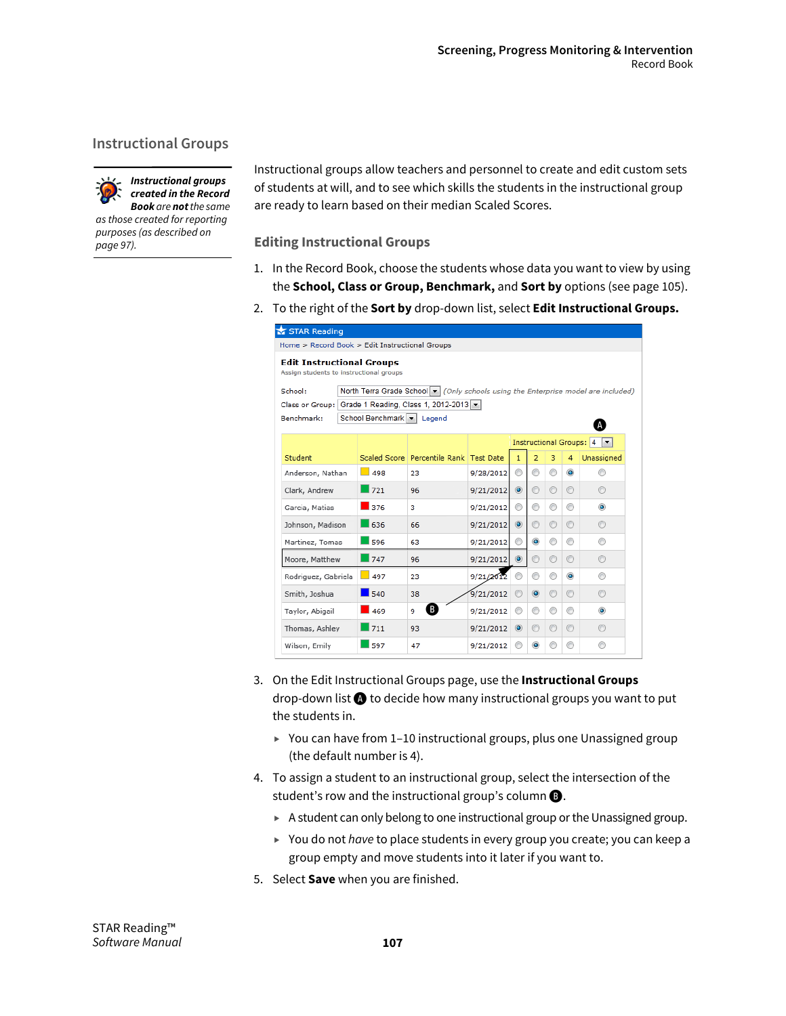## **Instructional Groups**



*created in the Record Book are not the same as those created for reporting purposes (as described on page 97).*

Instructional groups allow teachers and personnel to create and edit custom sets of students at will, and to see which skills the students in the instructional group are ready to learn based on their median Scaled Scores.

**Editing Instructional Groups**

- 1. In the Record Book, choose the students whose data you want to view by using the **School, Class or Group, Benchmark,** and **Sort by** options (see page 105).
- 2. To the right of the **Sort by** drop-down list, select **Edit Instructional Groups.**

| STAR Reading                                                                                 |  |                           |                                                     |           |                |                |         |                |                                                       |
|----------------------------------------------------------------------------------------------|--|---------------------------|-----------------------------------------------------|-----------|----------------|----------------|---------|----------------|-------------------------------------------------------|
| Home > Record Book > Edit Instructional Groups                                               |  |                           |                                                     |           |                |                |         |                |                                                       |
| <b>Edit Instructional Groups</b><br>Assign students to instructional groups                  |  |                           |                                                     |           |                |                |         |                |                                                       |
| North Terra Grade School v (Only schools using the Enterprise model are included)<br>School: |  |                           |                                                     |           |                |                |         |                |                                                       |
|                                                                                              |  |                           | Class or Group: Grade 1 Reading, Class 1, 2012-2013 |           |                |                |         |                |                                                       |
| Benchmark:                                                                                   |  | School Benchmark   Legend |                                                     |           |                |                |         |                |                                                       |
|                                                                                              |  |                           |                                                     |           |                |                |         |                | <b>Instructional Groups: 4</b><br>$\vert \cdot \vert$ |
| Student                                                                                      |  |                           | Scaled Score   Percentile Rank   Test Date          |           | $\mathbf{1}$   | $\overline{2}$ | 3       | $\overline{4}$ | Unassigned                                            |
| Anderson, Nathan                                                                             |  | 498                       | 23                                                  | 9/28/2012 | ⊙              | ⊙              | ⊙       | $\bullet$      |                                                       |
| Clark, Andrew                                                                                |  | 1721                      | 96                                                  | 9/21/2012 | $\odot$        | ⊙              | ⊙       | $\circledcirc$ | ⊙                                                     |
| Garcia, Matias                                                                               |  | 376                       | 3.                                                  | 9/21/2012 | ◉              | ⊙              | ⊙       | ⊙              | $\bullet$                                             |
| Johnson, Madison                                                                             |  | 636                       | 66                                                  | 9/21/2012 | $\odot$        | $\odot$        | $\odot$ | ⊙              | ⊙                                                     |
| Martinez, Tomas                                                                              |  | 596                       | 63                                                  | 9/21/2012 | ◉              | $\bullet$      | ⊙       | ◉              | ◉                                                     |
| Moore, Matthew                                                                               |  | 747                       | 96                                                  | 9/21/2012 | $\odot$        | $\odot$        | $\odot$ | $\odot$        | ⊙                                                     |
| Rodriguez, Gabriela                                                                          |  | $\vert$ 497               | 23                                                  | 9/21/2012 |                | ⊙              | ⊙       | $\odot$        | ∩                                                     |
| Smith, Joshua                                                                                |  | 540                       | 38                                                  | 9/21/2012 | $\circledcirc$ | $\odot$        | $\circ$ | $\circledcirc$ | ⊙                                                     |
| Taylor, Abigail                                                                              |  | 469                       | B<br>9                                              | 9/21/2012 | ⊙              | ⊙              | ⊙       | ⊙              | $\bullet$                                             |
| Thomas, Ashley                                                                               |  | 711                       | 93                                                  | 9/21/2012 | $\odot$        | ◉              | $\odot$ | ◉              | ⊙                                                     |
| Wilson, Emily                                                                                |  | 597                       | 47                                                  | 9/21/2012 | ⊙              | $\bullet$      | ◉       | ⊙              | ⋒                                                     |

- 3. On the Edit Instructional Groups page, use the **Instructional Groups**  drop-down list  $\bigcirc$  to decide how many instructional groups you want to put the students in.
	- ► You can have from 1-10 instructional groups, plus one Unassigned group (the default number is 4).
- 4. To assign a student to an instructional group, select the intersection of the student's row and the instructional group's column  $\mathbf{\Theta}$ .
	- A student can only belong to one instructional group or the Unassigned group.
	- You do not *have* to place students in every group you create; you can keep a group empty and move students into it later if you want to.
- 5. Select **Save** when you are finished.

STAR Reading™ *Software Manual*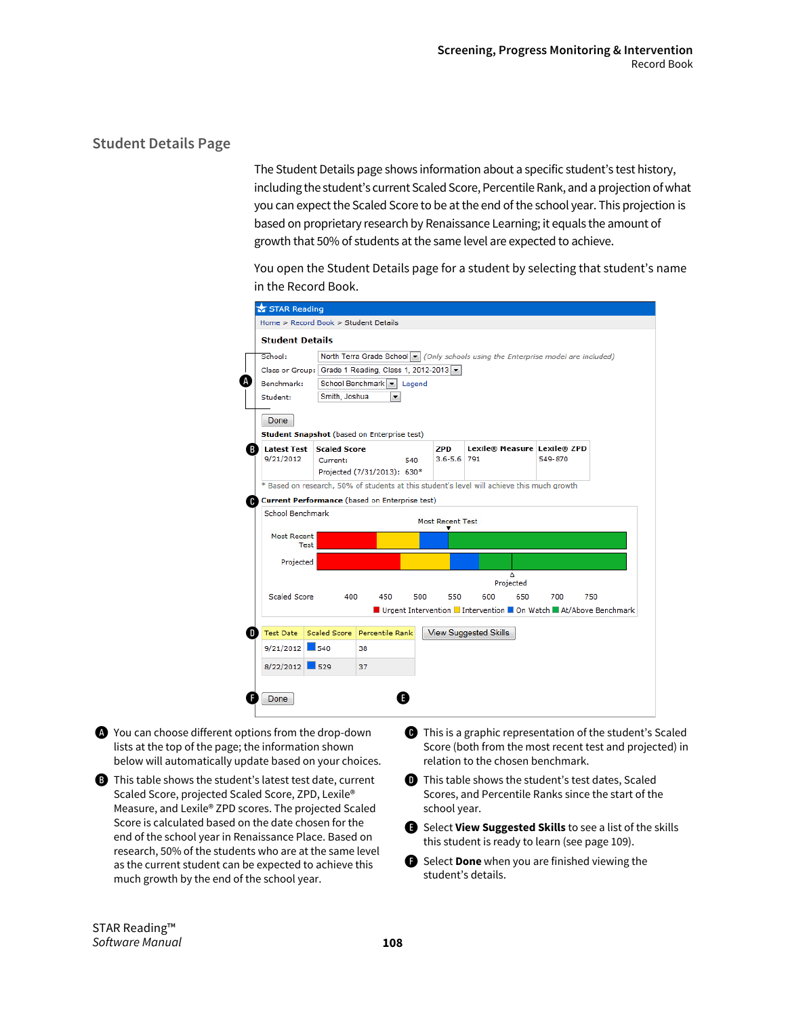## **Student Details Page**

The Student Details page shows information about a specific student's test history, including the student's current Scaled Score, Percentile Rank, and a projection of what you can expect the Scaled Score to be at the end of the school year. This projection is based on proprietary research by Renaissance Learning; it equals the amount of growth that 50% of students at the same level are expected to achieve.

You open the Student Details page for a student by selecting that student's name in the Record Book.

|    | STAR Reading                                                                               |                     |                             |     |                         |                              |     |                                                                                                       |     |  |  |
|----|--------------------------------------------------------------------------------------------|---------------------|-----------------------------|-----|-------------------------|------------------------------|-----|-------------------------------------------------------------------------------------------------------|-----|--|--|
|    | Home > Record Book > Student Details                                                       |                     |                             |     |                         |                              |     |                                                                                                       |     |  |  |
|    | <b>Student Details</b>                                                                     |                     |                             |     |                         |                              |     |                                                                                                       |     |  |  |
|    | School:                                                                                    |                     |                             |     |                         |                              |     | North Terra Grade School $\blacktriangleright$ (Only schools using the Enterprise model are included) |     |  |  |
|    | Class or Group: Grade 1 Reading, Class 1, 2012-2013  v                                     |                     |                             |     |                         |                              |     |                                                                                                       |     |  |  |
| A  | Benchmark:<br>School Benchmark   Legend                                                    |                     |                             |     |                         |                              |     |                                                                                                       |     |  |  |
|    | Student:                                                                                   | Smith, Joshua       | ۰                           |     |                         |                              |     |                                                                                                       |     |  |  |
|    | Done                                                                                       |                     |                             |     |                         |                              |     |                                                                                                       |     |  |  |
|    | <b>Student Snapshot</b> (based on Enterprise test)                                         |                     |                             |     |                         |                              |     |                                                                                                       |     |  |  |
| R  | <b>Latest Test</b>                                                                         | <b>Scaled Score</b> |                             |     | ZPD                     |                              |     | Lexile® Measure Lexile® ZPD                                                                           |     |  |  |
|    | 9/21/2012                                                                                  | Current:            |                             | 540 | $3.6 - 5.6$ 791         |                              |     | 549-870                                                                                               |     |  |  |
|    |                                                                                            |                     | Projected (7/31/2013): 630* |     |                         |                              |     |                                                                                                       |     |  |  |
|    | * Based on research, 50% of students at this student's level will achieve this much growth |                     |                             |     |                         |                              |     |                                                                                                       |     |  |  |
| œ  | <b>Current Performance (based on Enterprise test)</b>                                      |                     |                             |     |                         |                              |     |                                                                                                       |     |  |  |
|    | School Benchmark                                                                           |                     |                             |     | <b>Most Recent Test</b> |                              |     |                                                                                                       |     |  |  |
|    | <b>Most Recent</b>                                                                         |                     |                             |     |                         |                              |     |                                                                                                       |     |  |  |
|    | Test                                                                                       |                     |                             |     |                         |                              |     |                                                                                                       |     |  |  |
|    | Projected                                                                                  |                     |                             |     |                         |                              |     |                                                                                                       |     |  |  |
|    |                                                                                            |                     |                             |     |                         | Δ                            |     |                                                                                                       |     |  |  |
|    | <b>Scaled Score</b>                                                                        | 400                 | 450                         | 500 | 550                     | Projected<br>600             | 650 | 700                                                                                                   | 750 |  |  |
|    |                                                                                            |                     |                             |     |                         |                              |     | ■ Urgent Intervention ■ Intervention ■ On Watch ■ At/Above Benchmark                                  |     |  |  |
|    |                                                                                            |                     |                             |     |                         |                              |     |                                                                                                       |     |  |  |
| D. | <b>Test Date</b>                                                                           | <b>Scaled Score</b> | Percentile Rank             |     |                         | <b>View Suggested Skills</b> |     |                                                                                                       |     |  |  |
|    | $9/21/2012$ 540                                                                            |                     | 38                          |     |                         |                              |     |                                                                                                       |     |  |  |
|    | 8/22/2012 529                                                                              |                     | 37                          |     |                         |                              |     |                                                                                                       |     |  |  |
|    |                                                                                            |                     |                             |     |                         |                              |     |                                                                                                       |     |  |  |
|    | Done                                                                                       |                     |                             |     |                         |                              |     |                                                                                                       |     |  |  |

A You can choose different options from the drop-down lists at the top of the page; the information shown below will automatically update based on your choices.

**B** This table shows the student's latest test date, current Scaled Score, projected Scaled Score, ZPD, Lexile® Measure, and Lexile® ZPD scores. The projected Scaled Score is calculated based on the date chosen for the end of the school year in Renaissance Place. Based on research, 50% of the students who are at the same level as the current student can be expected to achieve this much growth by the end of the school year.

- C This is a graphic representation of the student's Scaled Score (both from the most recent test and projected) in relation to the chosen benchmark.
- **D** This table shows the student's test dates, Scaled Scores, and Percentile Ranks since the start of the school year.
- E Select **View Suggested Skills** to see a list of the skills this student is ready to learn (see page 109).
- **G** Select **Done** when you are finished viewing the student's details.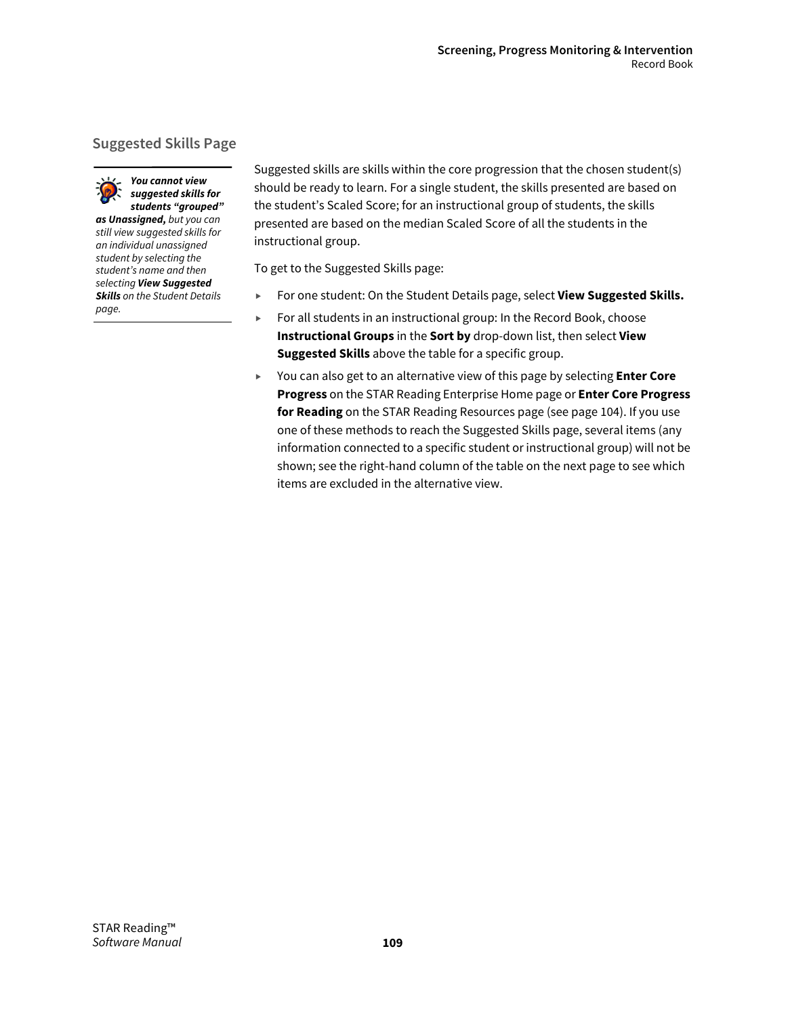# **Suggested Skills Page**

*You cannot view suggested skills for* 



*students "grouped" as Unassigned, but you can still view suggested skills for an individual unassigned student by selecting the student's name and then selecting View Suggested Skills on the Student Details page.*

Suggested skills are skills within the core progression that the chosen student(s) should be ready to learn. For a single student, the skills presented are based on the student's Scaled Score; for an instructional group of students, the skills presented are based on the median Scaled Score of all the students in the instructional group.

To get to the Suggested Skills page:

- For one student: On the Student Details page, select **View Suggested Skills.**
- ▶ For all students in an instructional group: In the Record Book, choose **Instructional Groups** in the **Sort by** drop-down list, then select **View Suggested Skills** above the table for a specific group.
- You can also get to an alternative view of this page by selecting **Enter Core Progress** on the STAR Reading Enterprise Home page or **Enter Core Progress for Reading** on the STAR Reading Resources page (see page 104). If you use one of these methods to reach the Suggested Skills page, several items (any information connected to a specific student or instructional group) will not be shown; see the right-hand column of the table on the next page to see which items are excluded in the alternative view.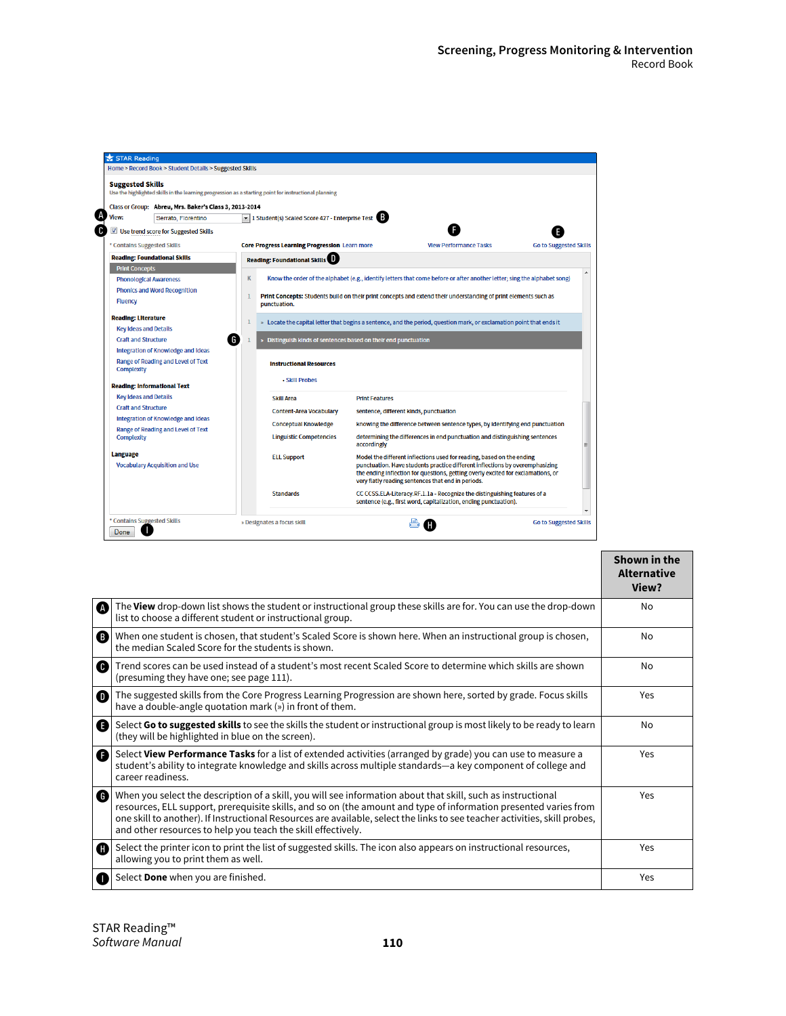|                                                                                                                                  | Home > Record Book > Student Details > Suggested Skills            |                                                                                                                                                                                                                        |                               |  |  |  |  |  |  |  |  |
|----------------------------------------------------------------------------------------------------------------------------------|--------------------------------------------------------------------|------------------------------------------------------------------------------------------------------------------------------------------------------------------------------------------------------------------------|-------------------------------|--|--|--|--|--|--|--|--|
| <b>Suggested Skills</b><br>Use the highlighted skills in the learning progression as a starting point for instructional planning |                                                                    |                                                                                                                                                                                                                        |                               |  |  |  |  |  |  |  |  |
| Class or Group: Abreu, Mrs. Baker's Class 3, 2013-2014                                                                           |                                                                    |                                                                                                                                                                                                                        |                               |  |  |  |  |  |  |  |  |
| View:<br>Serrato, Florentino                                                                                                     | I Student(s) Scaled Score 427 - Enterprise Test                    |                                                                                                                                                                                                                        |                               |  |  |  |  |  |  |  |  |
| Use trend score for Suggested Skills                                                                                             |                                                                    |                                                                                                                                                                                                                        |                               |  |  |  |  |  |  |  |  |
| * Contains Suggested Skills                                                                                                      | <b>Core Progress Learning Progression Learn more</b>               | <b>View Performance Tasks</b>                                                                                                                                                                                          | <b>Go to Suggested Skills</b> |  |  |  |  |  |  |  |  |
| <b>Reading: Foundational Skills</b>                                                                                              | <b>Reading: Foundational Skills</b>                                |                                                                                                                                                                                                                        |                               |  |  |  |  |  |  |  |  |
| <b>Print Concepts</b>                                                                                                            |                                                                    |                                                                                                                                                                                                                        |                               |  |  |  |  |  |  |  |  |
| <b>Phonological Awareness</b>                                                                                                    | K                                                                  | Know the order of the alphabet (e.g., identify letters that come before or after another letter; sing the alphabet song)                                                                                               |                               |  |  |  |  |  |  |  |  |
| <b>Phonics and Word Recognition</b>                                                                                              |                                                                    | Print Concepts: Students build on their print concepts and extend their understanding of print elements such as                                                                                                        |                               |  |  |  |  |  |  |  |  |
| <b>Fluency</b>                                                                                                                   | punctuation.                                                       |                                                                                                                                                                                                                        |                               |  |  |  |  |  |  |  |  |
| <b>Reading: Literature</b>                                                                                                       |                                                                    | » Locate the capital letter that begins a sentence, and the period, question mark, or exclamation point that ends it                                                                                                   |                               |  |  |  |  |  |  |  |  |
| <b>Key Ideas and Details</b>                                                                                                     |                                                                    |                                                                                                                                                                                                                        |                               |  |  |  |  |  |  |  |  |
| <b>Craft and Structure</b>                                                                                                       | G<br>Distinguish kinds of sentences based on their end punctuation |                                                                                                                                                                                                                        |                               |  |  |  |  |  |  |  |  |
|                                                                                                                                  |                                                                    |                                                                                                                                                                                                                        |                               |  |  |  |  |  |  |  |  |
| Integration of Knowledge and Ideas                                                                                               |                                                                    |                                                                                                                                                                                                                        |                               |  |  |  |  |  |  |  |  |
| Range of Reading and Level of Text<br><b>Complexity</b>                                                                          | <b>Instructional Resources</b>                                     |                                                                                                                                                                                                                        |                               |  |  |  |  |  |  |  |  |
|                                                                                                                                  | • Skill Probes                                                     |                                                                                                                                                                                                                        |                               |  |  |  |  |  |  |  |  |
| <b>Reading: Informational Text</b><br><b>Key Ideas and Details</b>                                                               | <b>Skill Area</b>                                                  | <b>Print Features</b>                                                                                                                                                                                                  |                               |  |  |  |  |  |  |  |  |
| <b>Craft and Structure</b>                                                                                                       |                                                                    |                                                                                                                                                                                                                        |                               |  |  |  |  |  |  |  |  |
| Integration of Knowledge and Ideas                                                                                               | <b>Content-Area Vocabulary</b>                                     | sentence, different kinds, punctuation                                                                                                                                                                                 |                               |  |  |  |  |  |  |  |  |
| Range of Reading and Level of Text                                                                                               | <b>Conceptual Knowledge</b>                                        | knowing the difference between sentence types, by identifying end punctuation                                                                                                                                          |                               |  |  |  |  |  |  |  |  |
| <b>Complexity</b>                                                                                                                | <b>Linguistic Competencies</b>                                     | determining the differences in end punctuation and distinguishing sentences<br>accordingly                                                                                                                             | Ξ                             |  |  |  |  |  |  |  |  |
| <b>Language</b>                                                                                                                  | <b>ELL Support</b>                                                 | Model the different inflections used for reading, based on the ending                                                                                                                                                  |                               |  |  |  |  |  |  |  |  |
| <b>Vocabulary Acquisition and Use</b>                                                                                            |                                                                    | punctuation. Have students practice different inflections by overemphasizing<br>the ending inflection for questions, getting overly excited for exclamations, or<br>very flatly reading sentences that end in periods. |                               |  |  |  |  |  |  |  |  |
|                                                                                                                                  | <b>Standards</b>                                                   | CC CCSS.ELA-Literacy.RF.1.1a - Recognize the distinguishing features of a<br>sentence (e.g., first word, capitalization, ending punctuation).                                                                          |                               |  |  |  |  |  |  |  |  |

|   |                                                                                                                                                                                                                                                                                                                                                                                                                                    | Shown in the<br><b>Alternative</b><br>View? |
|---|------------------------------------------------------------------------------------------------------------------------------------------------------------------------------------------------------------------------------------------------------------------------------------------------------------------------------------------------------------------------------------------------------------------------------------|---------------------------------------------|
|   | The View drop-down list shows the student or instructional group these skills are for. You can use the drop-down<br>list to choose a different student or instructional group.                                                                                                                                                                                                                                                     | No                                          |
| ❸ | When one student is chosen, that student's Scaled Score is shown here. When an instructional group is chosen,<br>the median Scaled Score for the students is shown.                                                                                                                                                                                                                                                                | No                                          |
|   | Trend scores can be used instead of a student's most recent Scaled Score to determine which skills are shown<br>(presuming they have one; see page 111).                                                                                                                                                                                                                                                                           | No                                          |
| o | The suggested skills from the Core Progress Learning Progression are shown here, sorted by grade. Focus skills<br>have a double-angle quotation mark (») in front of them.                                                                                                                                                                                                                                                         | Yes                                         |
|   | Select Go to suggested skills to see the skills the student or instructional group is most likely to be ready to learn<br>(they will be highlighted in blue on the screen).                                                                                                                                                                                                                                                        | No                                          |
| Ø | Select View Performance Tasks for a list of extended activities (arranged by grade) you can use to measure a<br>student's ability to integrate knowledge and skills across multiple standards—a key component of college and<br>career readiness.                                                                                                                                                                                  | Yes                                         |
|   | (b) When you select the description of a skill, you will see information about that skill, such as instructional<br>resources, ELL support, prerequisite skills, and so on (the amount and type of information presented varies from<br>one skill to another). If Instructional Resources are available, select the links to see teacher activities, skill probes,<br>and other resources to help you teach the skill effectively. | Yes                                         |
| O | Select the printer icon to print the list of suggested skills. The icon also appears on instructional resources,<br>allowing you to print them as well.                                                                                                                                                                                                                                                                            | Yes                                         |
| Œ | Select Done when you are finished.                                                                                                                                                                                                                                                                                                                                                                                                 | Yes                                         |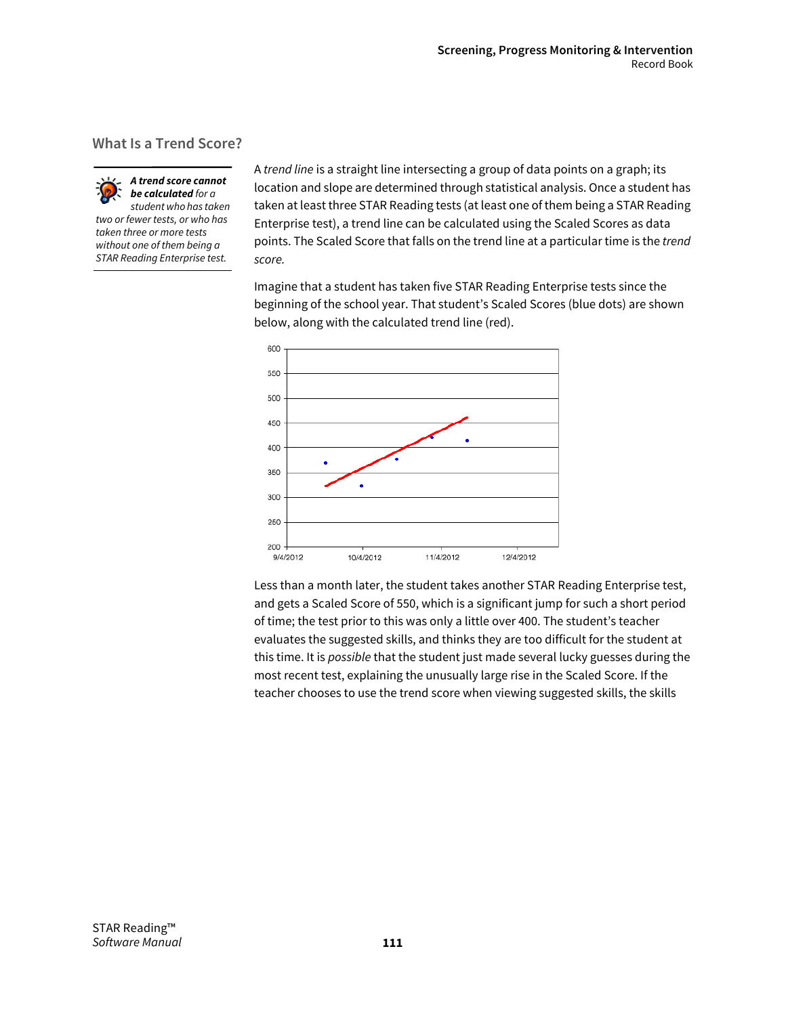### **What Is a Trend Score?**



*A trend score cannot be calculated for a student who has taken two or fewer tests, or who has* 

*taken three or more tests without one of them being a STAR Reading Enterprise test.* A *trend line* is a straight line intersecting a group of data points on a graph; its location and slope are determined through statistical analysis. Once a student has taken at least three STAR Reading tests (at least one of them being a STAR Reading Enterprise test), a trend line can be calculated using the Scaled Scores as data points. The Scaled Score that falls on the trend line at a particular time is the *trend score.*

Imagine that a student has taken five STAR Reading Enterprise tests since the beginning of the school year. That student's Scaled Scores (blue dots) are shown below, along with the calculated trend line (red).



Less than a month later, the student takes another STAR Reading Enterprise test, and gets a Scaled Score of 550, which is a significant jump for such a short period of time; the test prior to this was only a little over 400. The student's teacher evaluates the suggested skills, and thinks they are too difficult for the student at this time. It is *possible* that the student just made several lucky guesses during the most recent test, explaining the unusually large rise in the Scaled Score. If the teacher chooses to use the trend score when viewing suggested skills, the skills